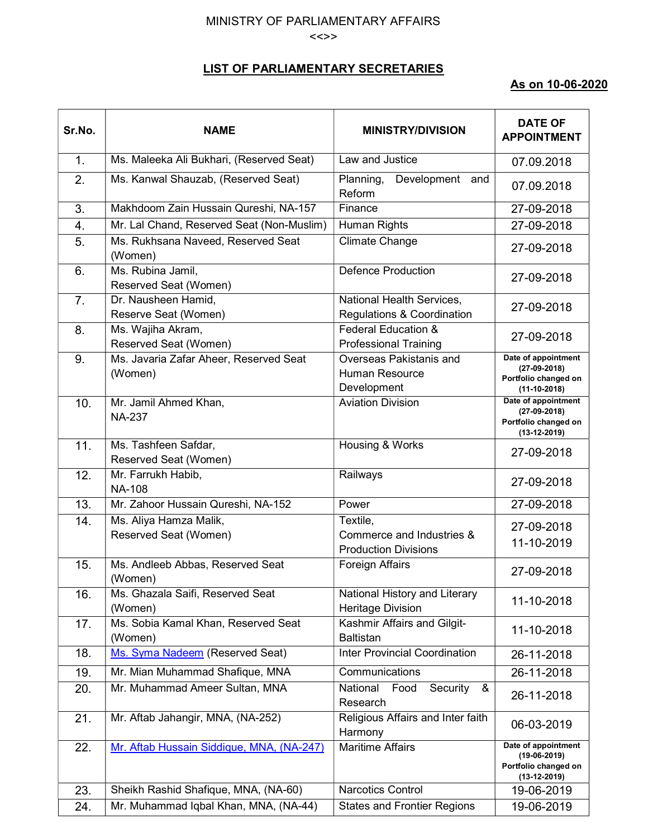## MINISTRY OF PARLIAMENTARY AFFAIRS <<>>

## LIST OF PARLIAMENTARY SECRETARIES

## As on 10-06-2020

| Sr.No.         | <b>NAME</b>                                       | <b>MINISTRY/DIVISION</b>                                             | <b>DATE OF</b><br><b>APPOINTMENT</b>                                            |
|----------------|---------------------------------------------------|----------------------------------------------------------------------|---------------------------------------------------------------------------------|
| 1.             | Ms. Maleeka Ali Bukhari, (Reserved Seat)          | Law and Justice                                                      | 07.09.2018                                                                      |
| 2.             | Ms. Kanwal Shauzab, (Reserved Seat)               | Planning,<br>Development<br>and<br>Reform                            | 07.09.2018                                                                      |
| 3.             | Makhdoom Zain Hussain Qureshi, NA-157             | Finance                                                              | 27-09-2018                                                                      |
| 4.             | Mr. Lal Chand, Reserved Seat (Non-Muslim)         | Human Rights                                                         | 27-09-2018                                                                      |
| 5.             | Ms. Rukhsana Naveed, Reserved Seat<br>(Women)     | <b>Climate Change</b>                                                | 27-09-2018                                                                      |
| 6.             | Ms. Rubina Jamil,<br>Reserved Seat (Women)        | <b>Defence Production</b>                                            | 27-09-2018                                                                      |
| 7 <sub>1</sub> | Dr. Nausheen Hamid,<br>Reserve Seat (Women)       | National Health Services,<br><b>Regulations &amp; Coordination</b>   | 27-09-2018                                                                      |
| 8.             | Ms. Wajiha Akram,<br>Reserved Seat (Women)        | <b>Federal Education &amp;</b><br><b>Professional Training</b>       | 27-09-2018                                                                      |
| 9.             | Ms. Javaria Zafar Aheer, Reserved Seat<br>(Women) | Overseas Pakistanis and<br>Human Resource<br>Development             | Date of appointment<br>$(27-09-2018)$<br>Portfolio changed on<br>$(11-10-2018)$ |
| 10.            | Mr. Jamil Ahmed Khan,<br><b>NA-237</b>            | <b>Aviation Division</b>                                             | Date of appointment<br>$(27-09-2018)$<br>Portfolio changed on<br>$(13-12-2019)$ |
| 11.            | Ms. Tashfeen Safdar,<br>Reserved Seat (Women)     | Housing & Works                                                      | 27-09-2018                                                                      |
| 12.            | Mr. Farrukh Habib,<br><b>NA-108</b>               | Railways                                                             | 27-09-2018                                                                      |
| 13.            | Mr. Zahoor Hussain Qureshi, NA-152                | Power                                                                | 27-09-2018                                                                      |
| 14.            | Ms. Aliya Hamza Malik,<br>Reserved Seat (Women)   | Textile,<br>Commerce and Industries &<br><b>Production Divisions</b> | 27-09-2018<br>11-10-2019                                                        |
| 15.            | Ms. Andleeb Abbas, Reserved Seat<br>(Women)       | Foreign Affairs                                                      | 27-09-2018                                                                      |
| 16.            | Ms. Ghazala Saifi, Reserved Seat<br>(Women)       | National History and Literary<br><b>Heritage Division</b>            | 11-10-2018                                                                      |
| 17.            | Ms. Sobia Kamal Khan, Reserved Seat<br>(Women)    | Kashmir Affairs and Gilgit-<br><b>Baltistan</b>                      | 11-10-2018                                                                      |
| 18.            | Ms. Syma Nadeem (Reserved Seat)                   | <b>Inter Provincial Coordination</b>                                 | 26-11-2018                                                                      |
| 19.            | Mr. Mian Muhammad Shafique, MNA                   | Communications                                                       | 26-11-2018                                                                      |
| 20.            | Mr. Muhammad Ameer Sultan, MNA                    | National<br>Food<br>Security<br>&<br>Research                        | 26-11-2018                                                                      |
| 21.            | Mr. Aftab Jahangir, MNA, (NA-252)                 | Religious Affairs and Inter faith<br>Harmony                         | 06-03-2019                                                                      |
| 22.            | Mr. Aftab Hussain Siddique, MNA, (NA-247)         | <b>Maritime Affairs</b>                                              | Date of appointment<br>$(19-06-2019)$<br>Portfolio changed on<br>$(13-12-2019)$ |
| 23.            | Sheikh Rashid Shafique, MNA, (NA-60)              | <b>Narcotics Control</b>                                             | 19-06-2019                                                                      |
| 24.            | Mr. Muhammad Iqbal Khan, MNA, (NA-44)             | <b>States and Frontier Regions</b>                                   | 19-06-2019                                                                      |